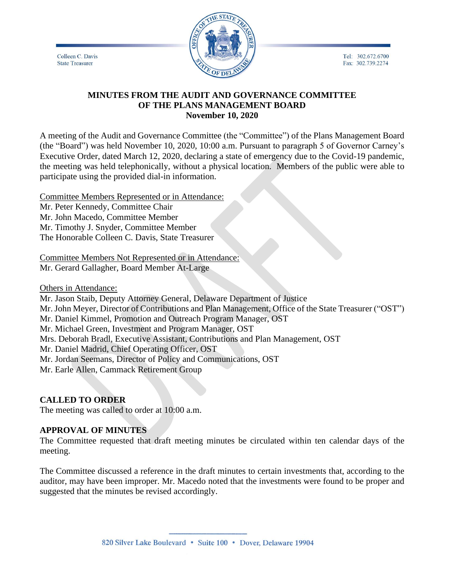Tel: 302.672.6700 Fax: 302.739.2274

Colleen C. Davis **State Treasurer** 



#### **MINUTES FROM THE AUDIT AND GOVERNANCE COMMITTEE OF THE PLANS MANAGEMENT BOARD November 10, 2020**

A meeting of the Audit and Governance Committee (the "Committee") of the Plans Management Board (the "Board") was held November 10, 2020, 10:00 a.m. Pursuant to paragraph 5 of Governor Carney's Executive Order, dated March 12, 2020, declaring a state of emergency due to the Covid-19 pandemic, the meeting was held telephonically, without a physical location. Members of the public were able to participate using the provided dial-in information.

Committee Members Represented or in Attendance: Mr. Peter Kennedy, Committee Chair Mr. John Macedo, Committee Member Mr. Timothy J. Snyder, Committee Member The Honorable Colleen C. Davis, State Treasurer

Committee Members Not Represented or in Attendance: Mr. Gerard Gallagher, Board Member At-Large

Others in Attendance:

Mr. Jason Staib, Deputy Attorney General, Delaware Department of Justice Mr. John Meyer, Director of Contributions and Plan Management, Office of the State Treasurer ("OST") Mr. Daniel Kimmel, Promotion and Outreach Program Manager, OST Mr. Michael Green, Investment and Program Manager, OST Mrs. Deborah Bradl, Executive Assistant, Contributions and Plan Management, OST Mr. Daniel Madrid, Chief Operating Officer, OST Mr. Jordan Seemans, Director of Policy and Communications, OST Mr. Earle Allen, Cammack Retirement Group

## **CALLED TO ORDER**

The meeting was called to order at 10:00 a.m.

## **APPROVAL OF MINUTES**

The Committee requested that draft meeting minutes be circulated within ten calendar days of the meeting.

The Committee discussed a reference in the draft minutes to certain investments that, according to the auditor, may have been improper. Mr. Macedo noted that the investments were found to be proper and suggested that the minutes be revised accordingly.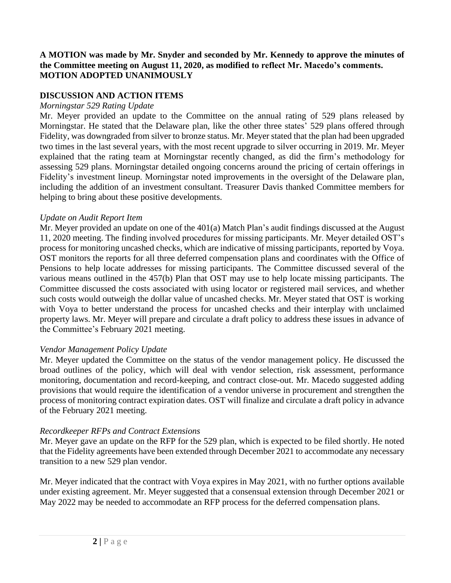## **A MOTION was made by Mr. Snyder and seconded by Mr. Kennedy to approve the minutes of the Committee meeting on August 11, 2020, as modified to reflect Mr. Macedo's comments. MOTION ADOPTED UNANIMOUSLY**

## **DISCUSSION AND ACTION ITEMS**

#### *Morningstar 529 Rating Update*

Mr. Meyer provided an update to the Committee on the annual rating of 529 plans released by Morningstar. He stated that the Delaware plan, like the other three states' 529 plans offered through Fidelity, was downgraded from silver to bronze status. Mr. Meyer stated that the plan had been upgraded two times in the last several years, with the most recent upgrade to silver occurring in 2019. Mr. Meyer explained that the rating team at Morningstar recently changed, as did the firm's methodology for assessing 529 plans. Morningstar detailed ongoing concerns around the pricing of certain offerings in Fidelity's investment lineup. Morningstar noted improvements in the oversight of the Delaware plan, including the addition of an investment consultant. Treasurer Davis thanked Committee members for helping to bring about these positive developments.

#### *Update on Audit Report Item*

Mr. Meyer provided an update on one of the 401(a) Match Plan's audit findings discussed at the August 11, 2020 meeting. The finding involved procedures for missing participants. Mr. Meyer detailed OST's process for monitoring uncashed checks, which are indicative of missing participants, reported by Voya. OST monitors the reports for all three deferred compensation plans and coordinates with the Office of Pensions to help locate addresses for missing participants. The Committee discussed several of the various means outlined in the 457(b) Plan that OST may use to help locate missing participants. The Committee discussed the costs associated with using locator or registered mail services, and whether such costs would outweigh the dollar value of uncashed checks. Mr. Meyer stated that OST is working with Voya to better understand the process for uncashed checks and their interplay with unclaimed property laws. Mr. Meyer will prepare and circulate a draft policy to address these issues in advance of the Committee's February 2021 meeting.

## *Vendor Management Policy Update*

Mr. Meyer updated the Committee on the status of the vendor management policy. He discussed the broad outlines of the policy, which will deal with vendor selection, risk assessment, performance monitoring, documentation and record-keeping, and contract close-out. Mr. Macedo suggested adding provisions that would require the identification of a vendor universe in procurement and strengthen the process of monitoring contract expiration dates. OST will finalize and circulate a draft policy in advance of the February 2021 meeting.

## *Recordkeeper RFPs and Contract Extensions*

Mr. Meyer gave an update on the RFP for the 529 plan, which is expected to be filed shortly. He noted that the Fidelity agreements have been extended through December 2021 to accommodate any necessary transition to a new 529 plan vendor.

Mr. Meyer indicated that the contract with Voya expires in May 2021, with no further options available under existing agreement. Mr. Meyer suggested that a consensual extension through December 2021 or May 2022 may be needed to accommodate an RFP process for the deferred compensation plans.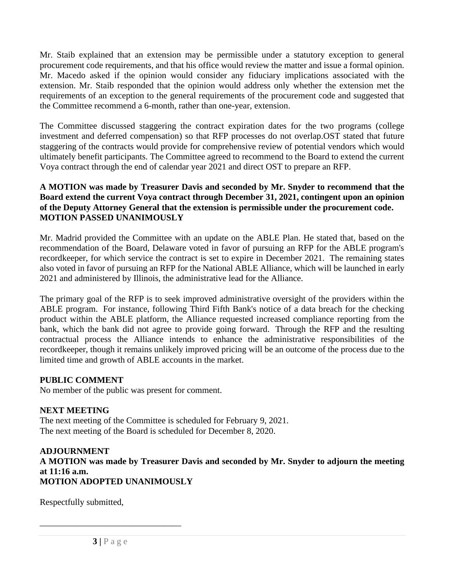Mr. Staib explained that an extension may be permissible under a statutory exception to general procurement code requirements, and that his office would review the matter and issue a formal opinion. Mr. Macedo asked if the opinion would consider any fiduciary implications associated with the extension. Mr. Staib responded that the opinion would address only whether the extension met the requirements of an exception to the general requirements of the procurement code and suggested that the Committee recommend a 6-month, rather than one-year, extension.

The Committee discussed staggering the contract expiration dates for the two programs (college investment and deferred compensation) so that RFP processes do not overlap.OST stated that future staggering of the contracts would provide for comprehensive review of potential vendors which would ultimately benefit participants. The Committee agreed to recommend to the Board to extend the current Voya contract through the end of calendar year 2021 and direct OST to prepare an RFP.

### **A MOTION was made by Treasurer Davis and seconded by Mr. Snyder to recommend that the Board extend the current Voya contract through December 31, 2021, contingent upon an opinion of the Deputy Attorney General that the extension is permissible under the procurement code. MOTION PASSED UNANIMOUSLY**

Mr. Madrid provided the Committee with an update on the ABLE Plan. He stated that, based on the recommendation of the Board, Delaware voted in favor of pursuing an RFP for the ABLE program's recordkeeper, for which service the contract is set to expire in December 2021. The remaining states also voted in favor of pursuing an RFP for the National ABLE Alliance, which will be launched in early 2021 and administered by Illinois, the administrative lead for the Alliance.

The primary goal of the RFP is to seek improved administrative oversight of the providers within the ABLE program. For instance, following Third Fifth Bank's notice of a data breach for the checking product within the ABLE platform, the Alliance requested increased compliance reporting from the bank, which the bank did not agree to provide going forward. Through the RFP and the resulting contractual process the Alliance intends to enhance the administrative responsibilities of the recordkeeper, though it remains unlikely improved pricing will be an outcome of the process due to the limited time and growth of ABLE accounts in the market.

## **PUBLIC COMMENT**

No member of the public was present for comment.

# **NEXT MEETING**

The next meeting of the Committee is scheduled for February 9, 2021. The next meeting of the Board is scheduled for December 8, 2020.

#### **ADJOURNMENT A MOTION was made by Treasurer Davis and seconded by Mr. Snyder to adjourn the meeting at 11:16 a.m. MOTION ADOPTED UNANIMOUSLY**

Respectfully submitted,

\_\_\_\_\_\_\_\_\_\_\_\_\_\_\_\_\_\_\_\_\_\_\_\_\_\_\_\_\_\_\_\_